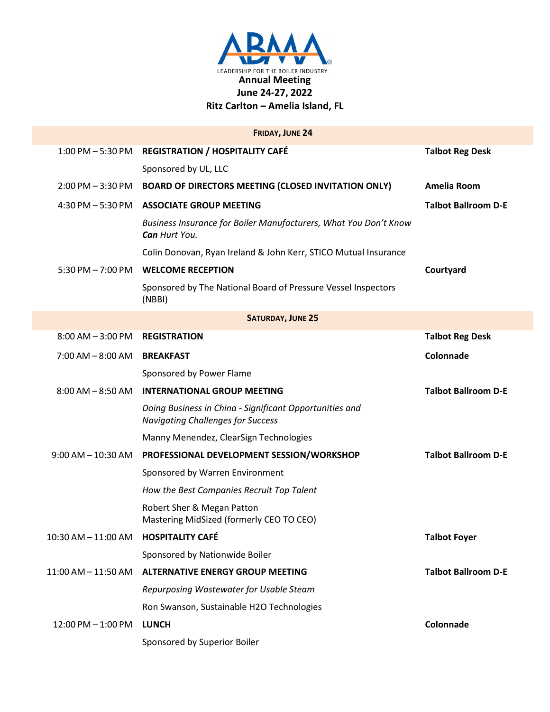

|                          | <b>FRIDAY, JUNE 24</b>                                                                              |                            |  |  |
|--------------------------|-----------------------------------------------------------------------------------------------------|----------------------------|--|--|
| $1:00$ PM $-5:30$ PM     | <b>REGISTRATION / HOSPITALITY CAFÉ</b>                                                              | <b>Talbot Reg Desk</b>     |  |  |
|                          | Sponsored by UL, LLC                                                                                |                            |  |  |
| $2:00$ PM $-3:30$ PM     | <b>BOARD OF DIRECTORS MEETING (CLOSED INVITATION ONLY)</b>                                          | Amelia Room                |  |  |
| $4:30$ PM $-5:30$ PM     | <b>ASSOCIATE GROUP MEETING</b>                                                                      | <b>Talbot Ballroom D-E</b> |  |  |
|                          | Business Insurance for Boiler Manufacturers, What You Don't Know<br>Can Hurt You.                   |                            |  |  |
|                          | Colin Donovan, Ryan Ireland & John Kerr, STICO Mutual Insurance                                     |                            |  |  |
| $5:30$ PM $- 7:00$ PM    | <b>WELCOME RECEPTION</b>                                                                            | Courtyard                  |  |  |
|                          | Sponsored by The National Board of Pressure Vessel Inspectors<br>(NBBI)                             |                            |  |  |
| <b>SATURDAY, JUNE 25</b> |                                                                                                     |                            |  |  |
| $8:00$ AM $-3:00$ PM     | <b>REGISTRATION</b>                                                                                 | <b>Talbot Reg Desk</b>     |  |  |
| $7:00$ AM $-8:00$ AM     | <b>BREAKFAST</b>                                                                                    | Colonnade                  |  |  |
|                          | Sponsored by Power Flame                                                                            |                            |  |  |
| $8:00$ AM $-8:50$ AM     | <b>INTERNATIONAL GROUP MEETING</b>                                                                  | <b>Talbot Ballroom D-E</b> |  |  |
|                          | Doing Business in China - Significant Opportunities and<br><b>Navigating Challenges for Success</b> |                            |  |  |
|                          | Manny Menendez, ClearSign Technologies                                                              |                            |  |  |
| $9:00$ AM $-$ 10:30 AM   | PROFESSIONAL DEVELOPMENT SESSION/WORKSHOP                                                           | <b>Talbot Ballroom D-E</b> |  |  |
|                          | Sponsored by Warren Environment                                                                     |                            |  |  |
|                          | How the Best Companies Recruit Top Talent                                                           |                            |  |  |
|                          | Robert Sher & Megan Patton<br>Mastering MidSized (formerly CEO TO CEO)                              |                            |  |  |
| 10:30 AM - 11:00 AM      | <b>HOSPITALITY CAFÉ</b>                                                                             | <b>Talbot Foyer</b>        |  |  |
|                          | Sponsored by Nationwide Boiler                                                                      |                            |  |  |
| 11:00 AM - 11:50 AM      | <b>ALTERNATIVE ENERGY GROUP MEETING</b>                                                             | <b>Talbot Ballroom D-E</b> |  |  |
|                          | Repurposing Wastewater for Usable Steam                                                             |                            |  |  |
|                          | Ron Swanson, Sustainable H2O Technologies                                                           |                            |  |  |
| $12:00$ PM $- 1:00$ PM   | <b>LUNCH</b>                                                                                        | Colonnade                  |  |  |
|                          | Sponsored by Superior Boiler                                                                        |                            |  |  |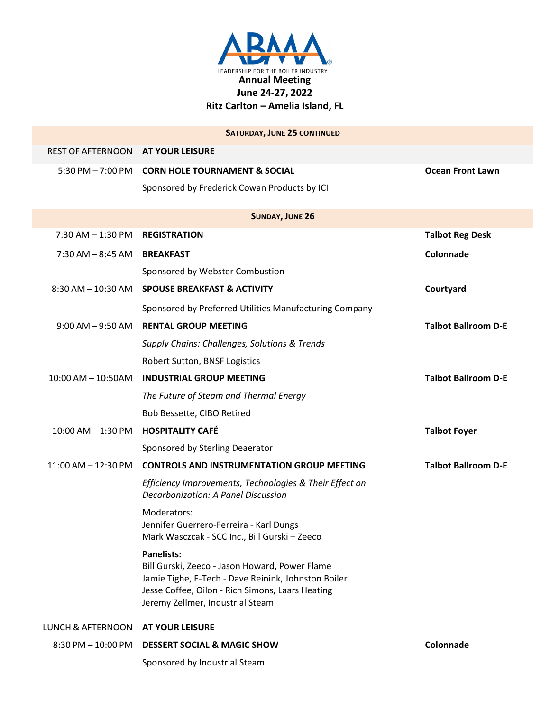

|                                   | <b>SATURDAY, JUNE 25 CONTINUED</b>                                                                                                                                                                                 |                            |  |  |
|-----------------------------------|--------------------------------------------------------------------------------------------------------------------------------------------------------------------------------------------------------------------|----------------------------|--|--|
| REST OF AFTERNOON AT YOUR LEISURE |                                                                                                                                                                                                                    |                            |  |  |
|                                   | 5:30 PM - 7:00 PM CORN HOLE TOURNAMENT & SOCIAL                                                                                                                                                                    | <b>Ocean Front Lawn</b>    |  |  |
|                                   | Sponsored by Frederick Cowan Products by ICI                                                                                                                                                                       |                            |  |  |
| <b>SUNDAY, JUNE 26</b>            |                                                                                                                                                                                                                    |                            |  |  |
| $7:30$ AM $- 1:30$ PM             | <b>REGISTRATION</b>                                                                                                                                                                                                | <b>Talbot Reg Desk</b>     |  |  |
| $7:30$ AM $-8:45$ AM              | <b>BREAKFAST</b>                                                                                                                                                                                                   | Colonnade                  |  |  |
|                                   | Sponsored by Webster Combustion                                                                                                                                                                                    |                            |  |  |
| $8:30$ AM $- 10:30$ AM            | <b>SPOUSE BREAKFAST &amp; ACTIVITY</b>                                                                                                                                                                             | Courtyard                  |  |  |
|                                   | Sponsored by Preferred Utilities Manufacturing Company                                                                                                                                                             |                            |  |  |
| $9:00$ AM $-9:50$ AM              | <b>RENTAL GROUP MEETING</b>                                                                                                                                                                                        | <b>Talbot Ballroom D-E</b> |  |  |
|                                   | Supply Chains: Challenges, Solutions & Trends                                                                                                                                                                      |                            |  |  |
|                                   | Robert Sutton, BNSF Logistics                                                                                                                                                                                      |                            |  |  |
| $10:00$ AM $- 10:50$ AM           | <b>INDUSTRIAL GROUP MEETING</b>                                                                                                                                                                                    | <b>Talbot Ballroom D-E</b> |  |  |
|                                   | The Future of Steam and Thermal Energy                                                                                                                                                                             |                            |  |  |
|                                   | Bob Bessette, CIBO Retired                                                                                                                                                                                         |                            |  |  |
| $10:00$ AM $- 1:30$ PM            | <b>HOSPITALITY CAFÉ</b>                                                                                                                                                                                            | <b>Talbot Foyer</b>        |  |  |
|                                   | Sponsored by Sterling Deaerator                                                                                                                                                                                    |                            |  |  |
| 11:00 AM - 12:30 PM               | <b>CONTROLS AND INSTRUMENTATION GROUP MEETING</b>                                                                                                                                                                  | <b>Talbot Ballroom D-E</b> |  |  |
|                                   | Efficiency Improvements, Technologies & Their Effect on<br>Decarbonization: A Panel Discussion                                                                                                                     |                            |  |  |
|                                   | Moderators:<br>Jennifer Guerrero-Ferreira - Karl Dungs<br>Mark Wasczcak - SCC Inc., Bill Gurski - Zeeco                                                                                                            |                            |  |  |
|                                   | <b>Panelists:</b><br>Bill Gurski, Zeeco - Jason Howard, Power Flame<br>Jamie Tighe, E-Tech - Dave Reinink, Johnston Boiler<br>Jesse Coffee, Oilon - Rich Simons, Laars Heating<br>Jeremy Zellmer, Industrial Steam |                            |  |  |
| <b>LUNCH &amp; AFTERNOON</b>      | <b>AT YOUR LEISURE</b>                                                                                                                                                                                             |                            |  |  |
| 8:30 PM - 10:00 PM                | <b>DESSERT SOCIAL &amp; MAGIC SHOW</b>                                                                                                                                                                             | Colonnade                  |  |  |
|                                   | Sponsored by Industrial Steam                                                                                                                                                                                      |                            |  |  |